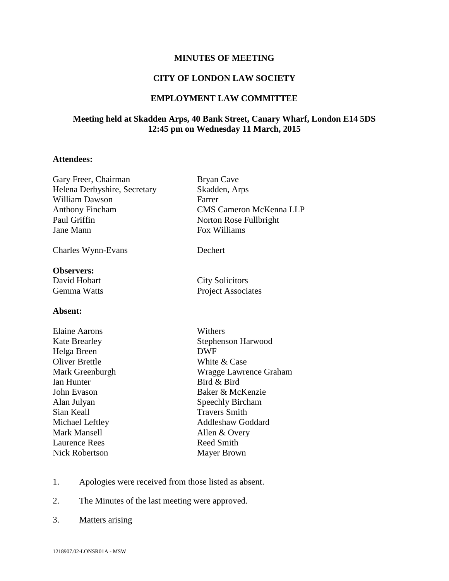# **MINUTES OF MEETING**

### **CITY OF LONDON LAW SOCIETY**

### **EMPLOYMENT LAW COMMITTEE**

## **Meeting held at Skadden Arps, 40 Bank Street, Canary Wharf, London E14 5DS 12:45 pm on Wednesday 11 March, 2015**

#### **Attendees:**

| Gary Freer, Chairman<br>Helena Derbyshire, Secretary | <b>Bryan Cave</b><br>Skadden, Arps |
|------------------------------------------------------|------------------------------------|
|                                                      |                                    |
| <b>Anthony Fincham</b>                               | <b>CMS Cameron McKenna LLP</b>     |
| Paul Griffin                                         | Norton Rose Fullbright             |
| Jane Mann                                            | Fox Williams                       |
| Charles Wynn-Evans                                   | Dechert                            |
| <b>Observers:</b>                                    |                                    |
| David Hobart                                         | <b>City Solicitors</b>             |
| Gemma Watts                                          | <b>Project Associates</b>          |
| Absent:                                              |                                    |
| Elaine Aarons                                        | Withers                            |
| <b>Kate Brearley</b>                                 | Stephenson Harwood                 |
| Helga Breen                                          | <b>DWF</b>                         |
| <b>Oliver Brettle</b>                                | White & Case                       |
| Mark Greenburgh                                      | Wragge Lawrence Graham             |
| <b>Ian Hunter</b>                                    | Bird & Bird                        |
| John Evason                                          | Baker & McKenzie                   |
| Alan Julyan                                          | <b>Speechly Bircham</b>            |
| Sian Keall                                           | <b>Travers Smith</b>               |
| Michael Leftley                                      | <b>Addleshaw Goddard</b>           |
| <b>Mark Mansell</b>                                  | Allen & Overy                      |
| <b>Laurence Rees</b>                                 | <b>Reed Smith</b>                  |
| <b>Nick Robertson</b>                                | <b>Mayer Brown</b>                 |

- 1. Apologies were received from those listed as absent.
- 2. The Minutes of the last meeting were approved.
- 3. Matters arising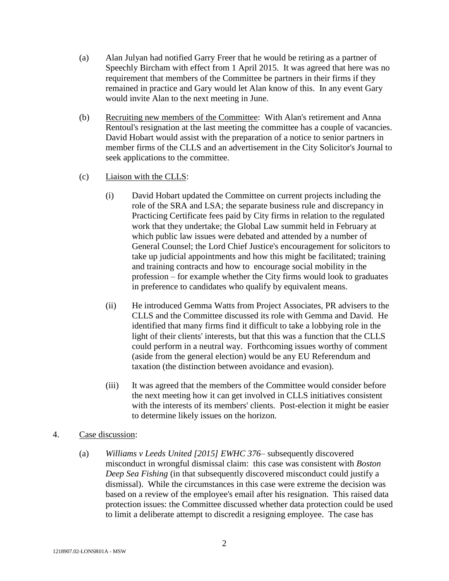- (a) Alan Julyan had notified Garry Freer that he would be retiring as a partner of Speechly Bircham with effect from 1 April 2015. It was agreed that here was no requirement that members of the Committee be partners in their firms if they remained in practice and Gary would let Alan know of this. In any event Gary would invite Alan to the next meeting in June.
- (b) Recruiting new members of the Committee: With Alan's retirement and Anna Rentoul's resignation at the last meeting the committee has a couple of vacancies. David Hobart would assist with the preparation of a notice to senior partners in member firms of the CLLS and an advertisement in the City Solicitor's Journal to seek applications to the committee.
- (c) Liaison with the CLLS:
	- (i) David Hobart updated the Committee on current projects including the role of the SRA and LSA; the separate business rule and discrepancy in Practicing Certificate fees paid by City firms in relation to the regulated work that they undertake; the Global Law summit held in February at which public law issues were debated and attended by a number of General Counsel; the Lord Chief Justice's encouragement for solicitors to take up judicial appointments and how this might be facilitated; training and training contracts and how to encourage social mobility in the profession – for example whether the City firms would look to graduates in preference to candidates who qualify by equivalent means.
	- (ii) He introduced Gemma Watts from Project Associates, PR advisers to the CLLS and the Committee discussed its role with Gemma and David. He identified that many firms find it difficult to take a lobbying role in the light of their clients' interests, but that this was a function that the CLLS could perform in a neutral way. Forthcoming issues worthy of comment (aside from the general election) would be any EU Referendum and taxation (the distinction between avoidance and evasion).
	- (iii) It was agreed that the members of the Committee would consider before the next meeting how it can get involved in CLLS initiatives consistent with the interests of its members' clients. Post-election it might be easier to determine likely issues on the horizon.
- 4. Case discussion:
	- (a) *Williams v Leeds United [2015] EWHC 376* subsequently discovered misconduct in wrongful dismissal claim: this case was consistent with *Boston Deep Sea Fishing* (in that subsequently discovered misconduct could justify a dismissal). While the circumstances in this case were extreme the decision was based on a review of the employee's email after his resignation. This raised data protection issues: the Committee discussed whether data protection could be used to limit a deliberate attempt to discredit a resigning employee. The case has